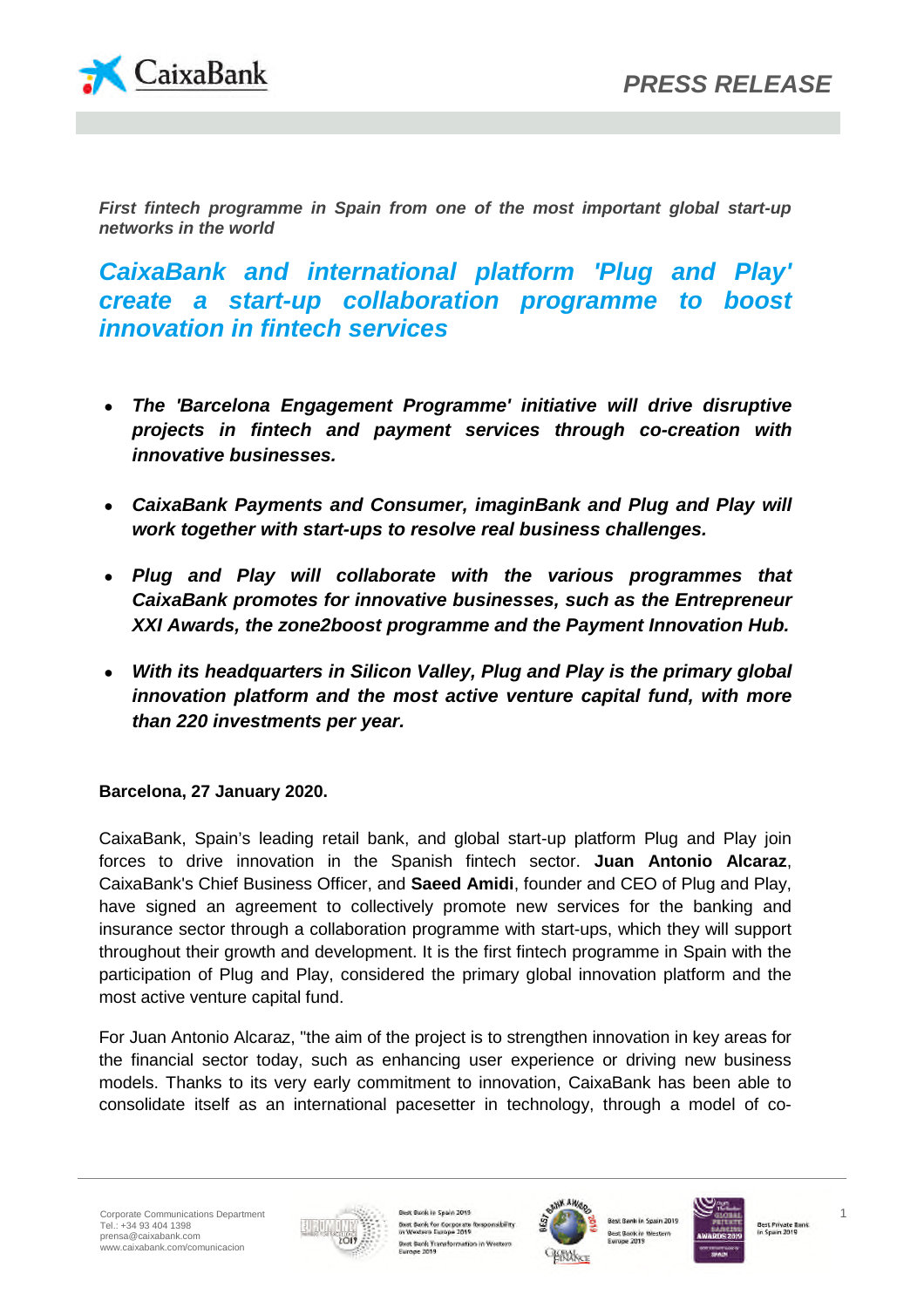

*First fintech programme in Spain from one of the most important global start-up networks in the world*

*CaixaBank and international platform 'Plug and Play' create a start-up collaboration programme to boost innovation in fintech services*

- *The 'Barcelona Engagement Programme' initiative will drive disruptive projects in fintech and payment services through co-creation with innovative businesses.*
- *CaixaBank Payments and Consumer, imaginBank and Plug and Play will work together with start-ups to resolve real business challenges.*
- *Plug and Play will collaborate with the various programmes that CaixaBank promotes for innovative businesses, such as the Entrepreneur XXI Awards, the zone2boost programme and the Payment Innovation Hub.*
- *With its headquarters in Silicon Valley, Plug and Play is the primary global innovation platform and the most active venture capital fund, with more than 220 investments per year.*

**Barcelona, 27 January 2020.**

CaixaBank, Spain's leading retail bank, and global start-up platform Plug and Play join forces to drive innovation in the Spanish fintech sector. **Juan Antonio Alcaraz**, CaixaBank's Chief Business Officer, and **Saeed Amidi**, founder and CEO of Plug and Play, have signed an agreement to collectively promote new services for the banking and insurance sector through a collaboration programme with start-ups, which they will support throughout their growth and development. It is the first fintech programme in Spain with the participation of Plug and Play, considered the primary global innovation platform and the most active venture capital fund.

For Juan Antonio Alcaraz, "the aim of the project is to strengthen innovation in key areas for the financial sector today, such as enhancing user experience or driving new business models. Thanks to its very early commitment to innovation, CaixaBank has been able to consolidate itself as an international pacesetter in technology, through a model of co-



nk in Spain 2019 Bust Bank for Corporate Res mibility Best Bank Transformation in Wester<br>Europe 2019



sk in Spain 2019 est Bank in West



Best Private Bank<br>In Spain 2019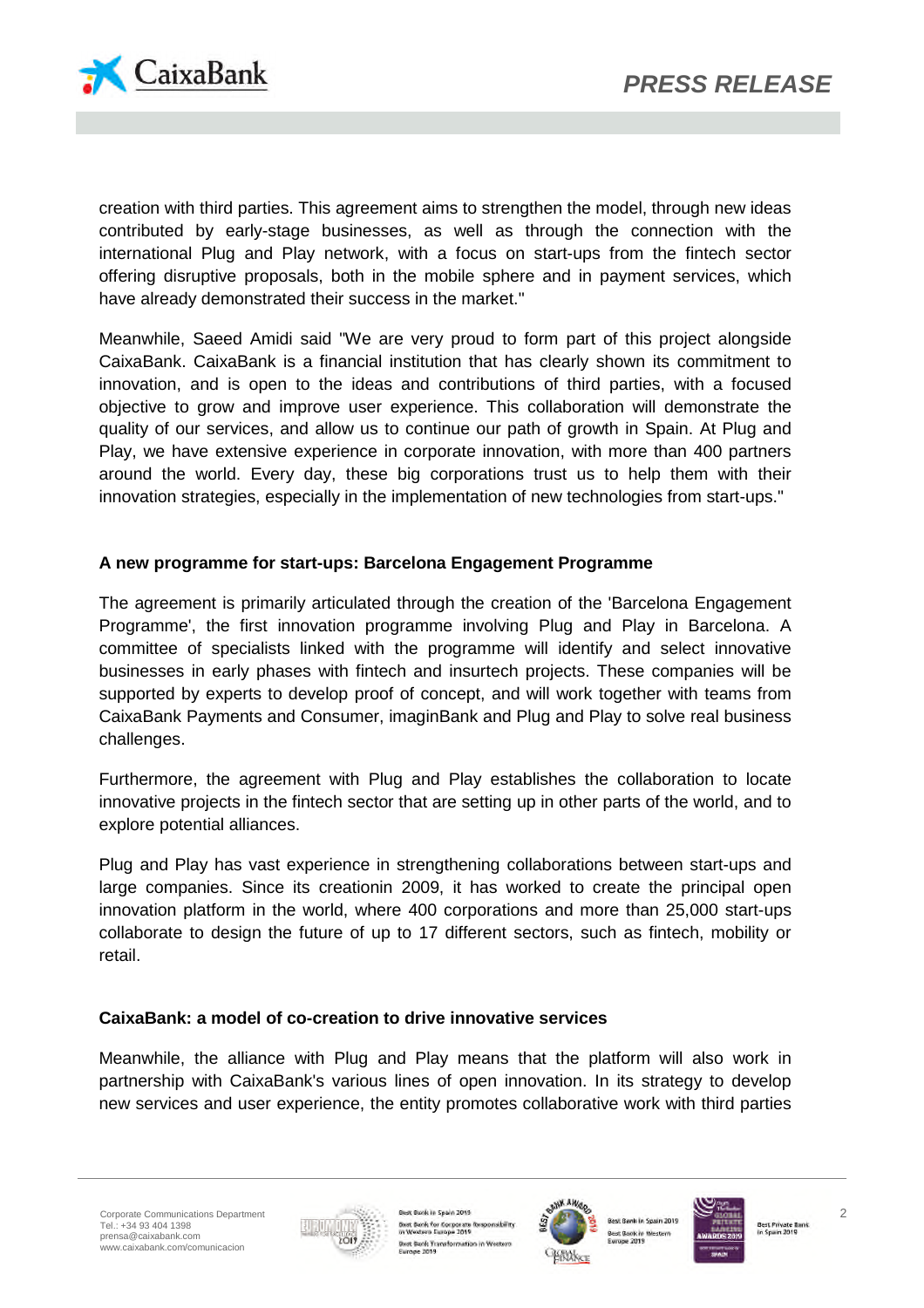

creation with third parties. This agreement aims to strengthen the model, through new ideas contributed by early-stage businesses, as well as through the connection with the international Plug and Play network, with a focus on start-ups from the fintech sector offering disruptive proposals, both in the mobile sphere and in payment services, which have already demonstrated their success in the market."

Meanwhile, Saeed Amidi said "We are very proud to form part of this project alongside CaixaBank. CaixaBank is a financial institution that has clearly shown its commitment to innovation, and is open to the ideas and contributions of third parties, with a focused objective to grow and improve user experience. This collaboration will demonstrate the quality of our services, and allow us to continue our path of growth in Spain. At Plug and Play, we have extensive experience in corporate innovation, with more than 400 partners around the world. Every day, these big corporations trust us to help them with their innovation strategies, especially in the implementation of new technologies from start-ups."

# **A new programme for start-ups: Barcelona Engagement Programme**

The agreement is primarily articulated through the creation of the 'Barcelona Engagement Programme', the first innovation programme involving Plug and Play in Barcelona. A committee of specialists linked with the programme will identify and select innovative businesses in early phases with fintech and insurtech projects. These companies will be supported by experts to develop proof of concept, and will work together with teams from CaixaBank Payments and Consumer, imaginBank and Plug and Play to solve real business challenges.

Furthermore, the agreement with Plug and Play establishes the collaboration to locate innovative projects in the fintech sector that are setting up in other parts of the world, and to explore potential alliances.

Plug and Play has vast experience in strengthening collaborations between start-ups and large companies. Since its creationin 2009, it has worked to create the principal open innovation platform in the world, where 400 corporations and more than 25,000 start-ups collaborate to design the future of up to 17 different sectors, such as fintech, mobility or retail.

## **CaixaBank: a model of co-creation to drive innovative services**

Meanwhile, the alliance with Plug and Play means that the platform will also work in partnership with CaixaBank's various lines of open innovation. In its strategy to develop new services and user experience, the entity promotes collaborative work with third parties



ok in Spain 2019 Bust Bank for Corporate Res<br>in Western Europe 2019 and follows: Best Bank Transformation in Western<br>Europe 2019



est Bank in West

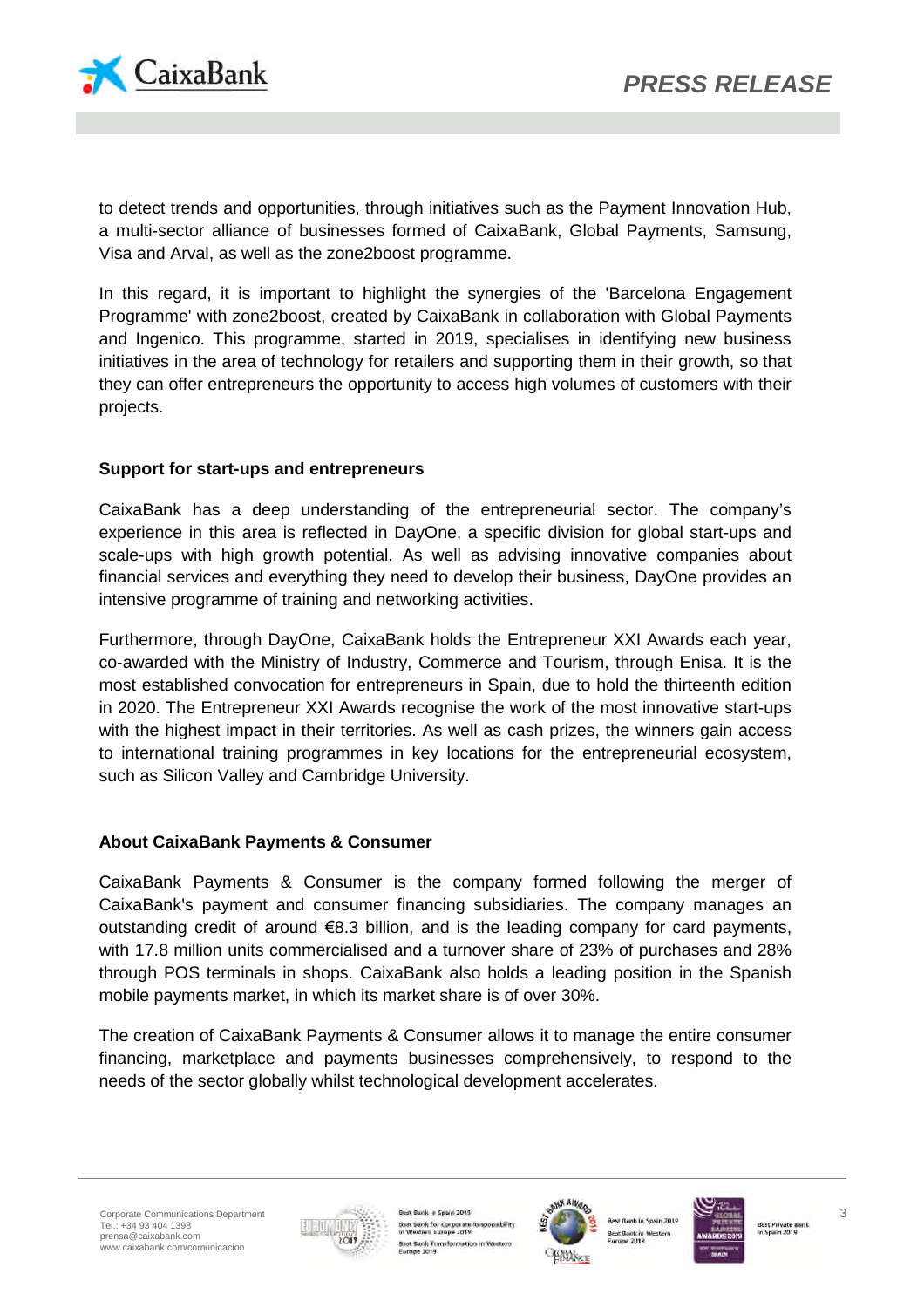

to detect trends and opportunities, through initiatives such as the Payment Innovation Hub, a multi-sector alliance of businesses formed of CaixaBank, Global Payments, Samsung, Visa and Arval, as well as the zone2boost programme.

In this regard, it is important to highlight the synergies of the 'Barcelona Engagement Programme' with zone2boost, created by CaixaBank in collaboration with Global Payments and Ingenico. This programme, started in 2019, specialises in identifying new business initiatives in the area of technology for retailers and supporting them in their growth, so that they can offer entrepreneurs the opportunity to access high volumes of customers with their projects.

# **Support for start-ups and entrepreneurs**

CaixaBank has a deep understanding of the entrepreneurial sector. The company's experience in this area is reflected in DayOne, a specific division for global start-ups and scale-ups with high growth potential. As well as advising innovative companies about financial services and everything they need to develop their business, DayOne provides an intensive programme of training and networking activities.

Furthermore, through DayOne, CaixaBank holds the Entrepreneur XXI Awards each year, co-awarded with the Ministry of Industry, Commerce and Tourism, through Enisa. It is the most established convocation for entrepreneurs in Spain, due to hold the thirteenth edition in 2020. The Entrepreneur XXI Awards recognise the work of the most innovative start-ups with the highest impact in their territories. As well as cash prizes, the winners gain access to international training programmes in key locations for the entrepreneurial ecosystem, such as Silicon Valley and Cambridge University.

## **About CaixaBank Payments & Consumer**

CaixaBank Payments & Consumer is the company formed following the merger of CaixaBank's payment and consumer financing subsidiaries. The company manages an outstanding credit of around €8.3 billion, and is the leading company for card payments, with 17.8 million units commercialised and a turnover share of 23% of purchases and 28% through POS terminals in shops. CaixaBank also holds a leading position in the Spanish mobile payments market, in which its market share is of over 30%.

The creation of CaixaBank Payments & Consumer allows it to manage the entire consumer financing, marketplace and payments businesses comprehensively, to respond to the needs of the sector globally whilst technological development accelerates.



ok in Spain 2019 Best Bank for Corporate Re diam. Best Bank Transformation in Wester<br>Europe 2019



**C Bank in West**